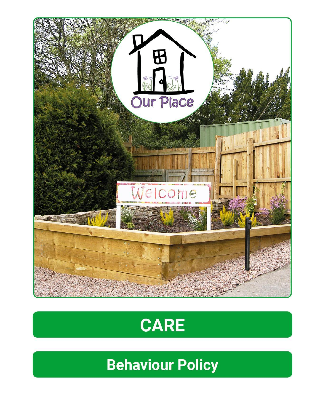



**Behaviour Policy**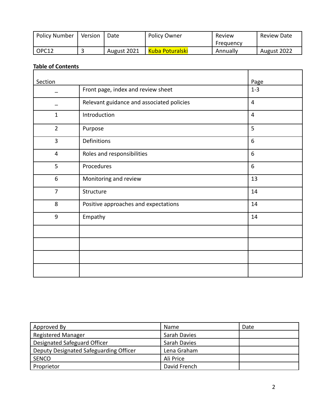| <b>Policy Number</b> | Version | Date        | <b>Policy Owner</b> | Review    | Review Date |
|----------------------|---------|-------------|---------------------|-----------|-------------|
|                      |         |             |                     | Freauency |             |
| OPC12                |         | August 2021 | Kuba Poturalski     | Annually  | August 2022 |

#### **Table of Contents**

| Section        |                                           | Page           |
|----------------|-------------------------------------------|----------------|
|                | Front page, index and review sheet        | $1 - 3$        |
|                | Relevant guidance and associated policies | $\overline{4}$ |
| $\mathbf{1}$   | Introduction                              | $\overline{4}$ |
| $\overline{2}$ | Purpose                                   | 5              |
| 3              | Definitions                               | 6              |
| 4              | Roles and responsibilities                | 6              |
| 5              | Procedures                                | 6              |
| 6              | Monitoring and review                     | 13             |
| $\overline{7}$ | Structure                                 | 14             |
| 8              | Positive approaches and expectations      | 14             |
| 9              | Empathy                                   | 14             |
|                |                                           |                |
|                |                                           |                |
|                |                                           |                |
|                |                                           |                |

| Approved By                            | <b>Name</b>  | Date |
|----------------------------------------|--------------|------|
| <b>Registered Manager</b>              | Sarah Davies |      |
| Designated Safeguard Officer           | Sarah Davies |      |
| Deputy Designated Safeguarding Officer | Lena Graham  |      |
| <b>SENCO</b>                           | Ali Price    |      |
| Proprietor                             | David French |      |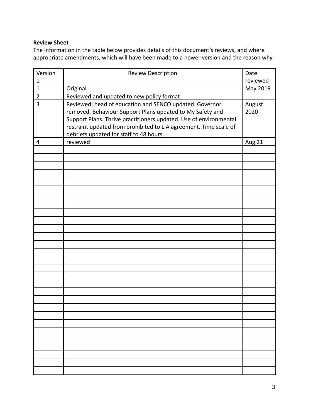#### **Review Sheet**

The information in the table below provides details of this document's reviews, and where appropriate amendments, which will have been made to a newer version and the reason why.

| Version        | <b>Review Description</b>                                         | Date     |
|----------------|-------------------------------------------------------------------|----------|
| 1              |                                                                   | reviewed |
| $\mathbf{1}$   | Original                                                          | May 2019 |
| $\overline{2}$ | Reviewed and updated to new policy format                         |          |
| 3              | Reviewed; head of education and SENCO updated. Governor           | August   |
|                | removed. Behaviour Support Plans updated to My Safety and         | 2020     |
|                | Support Plans. Thrive practitioners updated. Use of environmental |          |
|                | restraint updated from prohibited to L.A agreement. Time scale of |          |
|                | debriefs updated for staff to 48 hours.                           |          |
| 4              | reviewed                                                          | Aug 21   |
|                |                                                                   |          |
|                |                                                                   |          |
|                |                                                                   |          |
|                |                                                                   |          |
|                |                                                                   |          |
|                |                                                                   |          |
|                |                                                                   |          |
|                |                                                                   |          |
|                |                                                                   |          |
|                |                                                                   |          |
|                |                                                                   |          |
|                |                                                                   |          |
|                |                                                                   |          |
|                |                                                                   |          |
|                |                                                                   |          |
|                |                                                                   |          |
|                |                                                                   |          |
|                |                                                                   |          |
|                |                                                                   |          |
|                |                                                                   |          |
|                |                                                                   |          |
|                |                                                                   |          |
|                |                                                                   |          |
|                |                                                                   |          |
|                |                                                                   |          |
|                |                                                                   |          |
|                |                                                                   |          |
|                |                                                                   |          |
|                |                                                                   |          |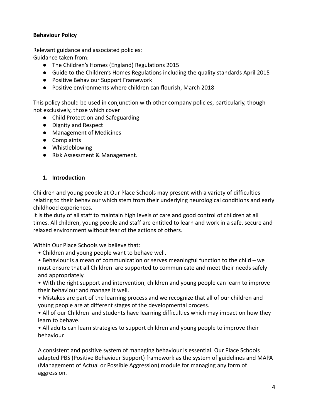## **Behaviour Policy**

Relevant guidance and associated policies: Guidance taken from:

- The Children's Homes (England) Regulations 2015
- Guide to the Children's Homes Regulations including the quality standards April 2015
- Positive Behaviour Support Framework
- Positive environments where children can flourish, March 2018

This policy should be used in conjunction with other company policies, particularly, though not exclusively, those which cover

- Child Protection and Safeguarding
- Dignity and Respect
- Management of Medicines
- Complaints
- Whistleblowing
- Risk Assessment & Management.

## **1. Introduction**

Children and young people at Our Place Schools may present with a variety of difficulties relating to their behaviour which stem from their underlying neurological conditions and early childhood experiences.

It is the duty of all staff to maintain high levels of care and good control of children at all times. All children, young people and staff are entitled to learn and work in a safe, secure and relaxed environment without fear of the actions of others.

Within Our Place Schools we believe that:

- Children and young people want to behave well.
- Behaviour is a mean of communication or serves meaningful function to the child we must ensure that all Children are supported to communicate and meet their needs safely and appropriately.

• With the right support and intervention, children and young people can learn to improve their behaviour and manage it well.

• Mistakes are part of the learning process and we recognize that all of our children and young people are at different stages of the developmental process.

• All of our Children and students have learning difficulties which may impact on how they learn to behave.

• All adults can learn strategies to support children and young people to improve their behaviour.

A consistent and positive system of managing behaviour is essential. Our Place Schools adapted PBS (Positive Behaviour Support) framework as the system of guidelines and MAPA (Management of Actual or Possible Aggression) module for managing any form of aggression.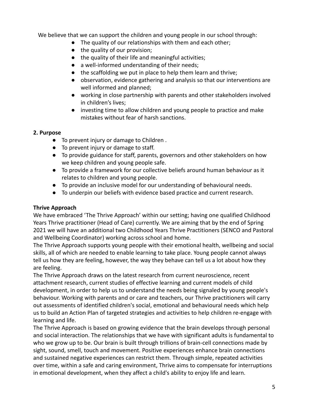We believe that we can support the children and young people in our school through:

- The quality of our relationships with them and each other;
- the quality of our provision;
- the quality of their life and meaningful activities;
- a well-informed understanding of their needs;
- the scaffolding we put in place to help them learn and thrive;
- observation, evidence gathering and analysis so that our interventions are well informed and planned;
- working in close partnership with parents and other stakeholders involved in children's lives;
- investing time to allow children and young people to practice and make mistakes without fear of harsh sanctions.

#### **2. Purpose**

- To prevent injury or damage to Children.
- To prevent injury or damage to staff.
- To provide guidance for staff, parents, governors and other stakeholders on how we keep children and young people safe.
- To provide a framework for our collective beliefs around human behaviour as it relates to children and young people.
- To provide an inclusive model for our understanding of behavioural needs.
- To underpin our beliefs with evidence based practice and current research.

### **Thrive Approach**

We have embraced 'The Thrive Approach' within our setting; having one qualified Childhood Years Thrive practitioner (Head of Care) currently. We are aiming that by the end of Spring 2021 we will have an additional two Childhood Years Thrive Practitioners (SENCO and Pastoral and Wellbeing Coordinator) working across school and home.

The Thrive Approach supports young people with their emotional health, wellbeing and social skills, all of which are needed to enable learning to take place. Young people cannot always tell us how they are feeling, however, the way they behave can tell us a lot about how they are feeling.

The Thrive Approach draws on the latest research from current neuroscience, recent attachment research, current studies of effective learning and current models of child development, in order to help us to understand the needs being signaled by young people's behaviour. Working with parents and or care and teachers, our Thrive practitioners will carry out assessments of identified children's social, emotional and behavioural needs which help us to build an Action Plan of targeted strategies and activities to help children re-engage with learning and life.

The Thrive Approach is based on growing evidence that the brain develops through personal and social interaction. The relationships that we have with significant adults is fundamental to who we grow up to be. Our brain is built through trillions of brain-cell connections made by sight, sound, smell, touch and movement. Positive experiences enhance brain connections and sustained negative experiences can restrict them. Through simple, repeated activities over time, within a safe and caring environment, Thrive aims to compensate for interruptions in emotional development, when they affect a child's ability to enjoy life and learn.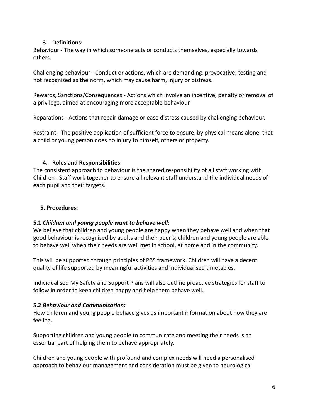#### **3. Definitions:**

Behaviour - The way in which someone acts or conducts themselves, especially towards others.

Challenging behaviour - Conduct or actions, which are demanding, provocative**,** testing and not recognised as the norm, which may cause harm, injury or distress.

Rewards, Sanctions/Consequences - Actions which involve an incentive, penalty or removal of a privilege, aimed at encouraging more acceptable behaviour.

Reparations - Actions that repair damage or ease distress caused by challenging behaviour.

Restraint - The positive application of sufficient force to ensure, by physical means alone, that a child or young person does no injury to himself, others or property.

#### **4. Roles and Responsibilities:**

The consistent approach to behaviour is the shared responsibility of all staff working with Children . Staff work together to ensure all relevant staff understand the individual needs of each pupil and their targets.

#### **5. Procedures:**

### **5.1** *Children and young people want to behave well:*

We believe that children and young people are happy when they behave well and when that good behaviour is recognised by adults and their peer's; children and young people are able to behave well when their needs are well met in school, at home and in the community.

This will be supported through principles of PBS framework. Children will have a decent quality of life supported by meaningful activities and individualised timetables.

Individualised My Safety and Support Plans will also outline proactive strategies for staff to follow in order to keep children happy and help them behave well.

### **5.2** *Behaviour and Communication:*

How children and young people behave gives us important information about how they are feeling.

Supporting children and young people to communicate and meeting their needs is an essential part of helping them to behave appropriately.

Children and young people with profound and complex needs will need a personalised approach to behaviour management and consideration must be given to neurological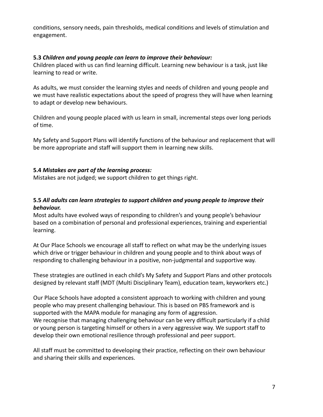conditions, sensory needs, pain thresholds, medical conditions and levels of stimulation and engagement.

#### **5.3** *Children and young people can learn to improve their behaviour:*

Children placed with us can find learning difficult. Learning new behaviour is a task, just like learning to read or write.

As adults, we must consider the learning styles and needs of children and young people and we must have realistic expectations about the speed of progress they will have when learning to adapt or develop new behaviours.

Children and young people placed with us learn in small, incremental steps over long periods of time.

My Safety and Support Plans will identify functions of the behaviour and replacement that will be more appropriate and staff will support them in learning new skills.

#### **5.4** *Mistakes are part of the learning process:*

Mistakes are not judged; we support children to get things right.

## **5.5** *All adults can learn strategies to support children and young people to improve their behaviour.*

Most adults have evolved ways of responding to children's and young people's behaviour based on a combination of personal and professional experiences, training and experiential learning.

At Our Place Schools we encourage all staff to reflect on what may be the underlying issues which drive or trigger behaviour in children and young people and to think about ways of responding to challenging behaviour in a positive, non-judgmental and supportive way.

These strategies are outlined in each child's My Safety and Support Plans and other protocols designed by relevant staff (MDT (Multi Disciplinary Team), education team, keyworkers etc.)

Our Place Schools have adopted a consistent approach to working with children and young people who may present challenging behaviour. This is based on PBS framework and is supported with the MAPA module for managing any form of aggression. We recognise that managing challenging behaviour can be very difficult particularly if a child or young person is targeting himself or others in a very aggressive way. We support staff to develop their own emotional resilience through professional and peer support.

All staff must be committed to developing their practice, reflecting on their own behaviour and sharing their skills and experiences.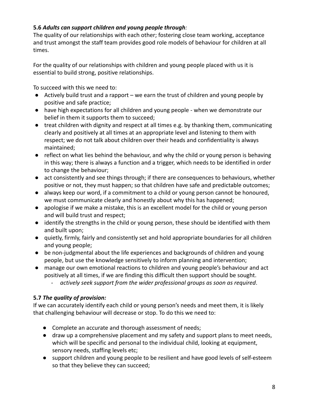## **5.6** *Adults can support children and young people through:*

The quality of our relationships with each other; fostering close team working, acceptance and trust amongst the staff team provides good role models of behaviour for children at all times.

For the quality of our relationships with children and young people placed with us it is essential to build strong, positive relationships.

To succeed with this we need to:

- Actively build trust and a rapport we earn the trust of children and young people by positive and safe practice;
- have high expectations for all children and young people when we demonstrate our belief in them it supports them to succeed;
- treat children with dignity and respect at all times e.g. by thanking them, communicating clearly and positively at all times at an appropriate level and listening to them with respect; we do not talk about children over their heads and confidentiality is always maintained;
- reflect on what lies behind the behaviour, and why the child or young person is behaving in this way; there is always a function and a trigger, which needs to be identified in order to change the behaviour;
- act consistently and see things through; if there are consequences to behaviours, whether positive or not, they must happen; so that children have safe and predictable outcomes;
- always keep our word, if a commitment to a child or young person cannot be honoured, we must communicate clearly and honestly about why this has happened;
- apologise if we make a mistake, this is an excellent model for the child or young person and will build trust and respect;
- identify the strengths in the child or young person, these should be identified with them and built upon;
- quietly, firmly, fairly and consistently set and hold appropriate boundaries for all children and young people;
- be non-judgmental about the life experiences and backgrounds of children and young people, but use the knowledge sensitively to inform planning and intervention;
- manage our own emotional reactions to children and young people's behaviour and act positively at all times, if we are finding this difficult then support should be sought.
	- *actively seek support from the wider professional groups as soon as required*.

## **5.7** *The quality of provision:*

If we can accurately identify each child or young person's needs and meet them, it is likely that challenging behaviour will decrease or stop. To do this we need to:

- Complete an accurate and thorough assessment of needs;
- draw up a comprehensive placement and my safety and support plans to meet needs, which will be specific and personal to the individual child, looking at equipment, sensory needs, staffing levels etc;
- support children and young people to be resilient and have good levels of self-esteem so that they believe they can succeed;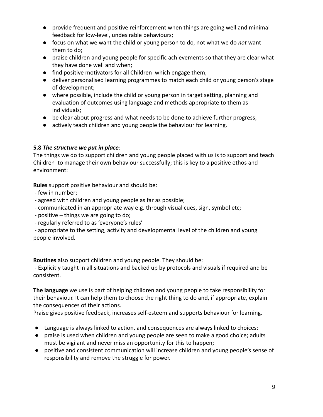- provide frequent and positive reinforcement when things are going well and minimal feedback for low-level, undesirable behaviours;
- *●* focus on what we want the child or young person to do, not what we do *not* want them to do;
- praise children and young people for specific achievements so that they are clear what they have done well and when;
- find positive motivators for all Children which engage them;
- deliver personalised learning programmes to match each child or young person's stage of development;
- where possible, include the child or young person in target setting, planning and evaluation of outcomes using language and methods appropriate to them as individuals;
- be clear about progress and what needs to be done to achieve further progress;
- actively teach children and young people the behaviour for learning.

### **5.8** *The structure we put in place:*

The things we do to support children and young people placed with us is to support and teach Children to manage their own behaviour successfully; this is key to a positive ethos and environment:

**Rules** support positive behaviour and should be:

- few in number;
- agreed with children and young people as far as possible;
- communicated in an appropriate way e.g. through visual cues, sign, symbol etc;
- positive things we are going to do;
- regularly referred to as 'everyone's rules'

- appropriate to the setting, activity and developmental level of the children and young people involved.

**Routines** also support children and young people. They should be:

- Explicitly taught in all situations and backed up by protocols and visuals if required and be consistent.

**The language** we use is part of helping children and young people to take responsibility for their behaviour. It can help them to choose the right thing to do and, if appropriate, explain the consequences of their actions.

Praise gives positive feedback, increases self-esteem and supports behaviour for learning.

- Language is always linked to action, and consequences are always linked to choices;
- praise is used when children and young people are seen to make a good choice; adults must be vigilant and never miss an opportunity for this to happen;
- positive and consistent communication will increase children and young people's sense of responsibility and remove the struggle for power.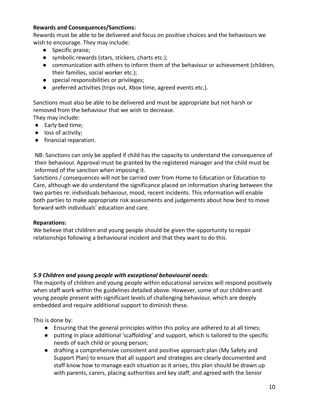#### **Rewards and Consequences/Sanctions:**

Rewards must be able to be delivered and focus on positive choices and the behaviours we wish to encourage. They may include:

- Specific praise;
- symbolic rewards (stars, stickers, charts etc.);
- communication with others to inform them of the behaviour or achievement (children, their families, social worker etc.);
- special responsibilities or privileges;
- preferred activities (trips out, Xbox time, agreed events etc.).

Sanctions must also be able to be delivered and must be appropriate but not harsh or removed from the behaviour that we wish to decrease.

They may include:

- Early bed time;
- loss of activity;
- financial reparation.

NB: Sanctions can only be applied if child has the capacity to understand the consequence of their behaviour. Approval must be granted by the registered manager and the child must be informed of the sanction when imposing it.

Sanctions / consequences will not be carried over from Home to Education or Education to Care, although we do understand the significance placed on information sharing between the two parties re: individuals behaviour, mood, recent incidents. This information will enable both parties to make appropriate risk assessments and judgements about how best to move forward with individuals' education and care.

### **Reparations:**

We believe that children and young people should be given the opportunity to repair relationships following a behavioural incident and that they want to do this.

# *5.9 Children and young people with exceptional behavioural needs:*

The majority of children and young people within educational services will respond positively when staff work within the guidelines detailed above. However, some of our children and young people present with significant levels of challenging behaviour, which are deeply embedded and require additional support to diminish these.

This is done by:

- Ensuring that the general principles within this policy are adhered to at all times;
- putting in place additional 'scaffolding' and support, which is tailored to the specific needs of each child or young person;
- drafting a comprehensive consistent and positive approach plan (My Safety and Support Plan) to ensure that all support and strategies are clearly documented and staff know how to manage each situation as it arises, this plan should be drawn up with parents, carers, placing authorities and key staff; and agreed with the Senior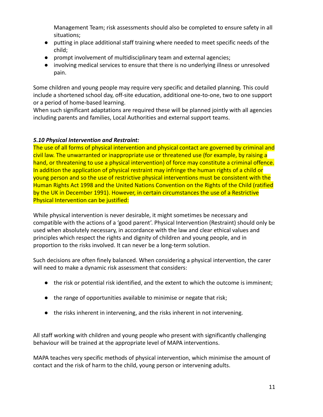Management Team; risk assessments should also be completed to ensure safety in all situations;

- putting in place additional staff training where needed to meet specific needs of the child;
- prompt involvement of multidisciplinary team and external agencies;
- involving medical services to ensure that there is no underlying illness or unresolved pain.

Some children and young people may require very specific and detailed planning. This could include a shortened school day, off-site education, additional one-to-one, two to one support or a period of home-based learning.

When such significant adaptations are required these will be planned jointly with all agencies including parents and families, Local Authorities and external support teams.

#### *5.10 Physical Intervention and Restraint:*

The use of all forms of physical intervention and physical contact are governed by criminal and civil law. The unwarranted or inappropriate use or threatened use (for example, by raising a hand, or threatening to use a physical intervention) of force may constitute a criminal offence. In addition the application of physical restraint may infringe the human rights of a child or young person and so the use of restrictive physical interventions must be consistent with the Human Rights Act 1998 and the United Nations Convention on the Rights of the Child (ratified by the UK in December 1991). However, in certain circumstances the use of a Restrictive Physical Intervention can be justified:

While physical intervention is never desirable, it might sometimes be necessary and compatible with the actions of a 'good parent'. Physical Intervention (Restraint) should only be used when absolutely necessary, in accordance with the law and clear ethical values and principles which respect the rights and dignity of children and young people, and in proportion to the risks involved. It can never be a long-term solution.

Such decisions are often finely balanced. When considering a physical intervention, the carer will need to make a dynamic risk assessment that considers:

- the risk or potential risk identified, and the extent to which the outcome is imminent;
- the range of opportunities available to minimise or negate that risk;
- the risks inherent in intervening, and the risks inherent in not intervening.

All staff working with children and young people who present with significantly challenging behaviour will be trained at the appropriate level of MAPA interventions.

MAPA teaches very specific methods of physical intervention, which minimise the amount of contact and the risk of harm to the child, young person or intervening adults.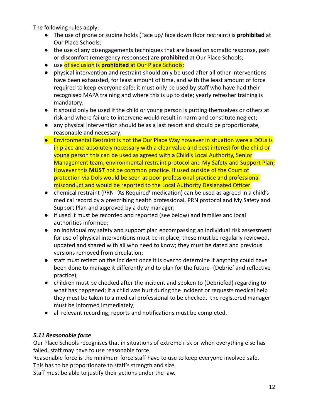The following rules apply:

- The use of prone or supine holds (Face up/ face down floor restraint) is **prohibited** at Our Place Schools;
- the use of any disengagements techniques that are based on somatic response, pain or discomfort (emergency responses) are **prohibited** at Our Place Schools;
- use of seclusion is **prohibited** at Our Place Schools;
- physical intervention and restraint should only be used after all other interventions have been exhausted, for least amount of time, and with the least amount of force required to keep everyone safe; it must only be used by staff who have had their recognised MAPA training and where this is up to date; yearly refresher training is mandatory;
- it should only be used if the child or young person is putting themselves or others at risk and where failure to intervene would result in harm and constitute neglect;
- any physical intervention should be as a last resort and should be proportionate, reasonable and necessary;
- Environmental Restraint is not the Our Place Way however in situation were a DOLs is in place and absolutely necessary with a clear value and best interest for the child or young person this can be used as agreed with a Child's Local Authority, Senior Management team, environmental restraint protocol and My Safety and Support Plan; However this **MUST** not be common practice. If used outside of the Court of protection via Dols would be seen as poor professional practice and professional misconduct and would be reported to the Local Authority Designated Officer
- chemical restraint (PRN- 'As Required' medication) can be used as agreed in a child's medical record by a prescribing health professional, PRN protocol and My Safety and Support Plan and approved by a duty manager;
- if used it must be recorded and reported (see below) and families and local authorities informed;
- an individual my safety and support plan encompassing an individual risk assessment for use of physical interventions must be in place; these must be regularly reviewed, updated and shared with all who need to know; they must be dated and previous versions removed from circulation;
- staff must reflect on the incident once it is over to determine if anything could have been done to manage it differently and to plan for the future- (Debrief and reflective practice);
- children must be checked after the incident and spoken to (Debriefed) regarding to what has happened; if a child was hurt during the incident or requests medical help they must be taken to a medical professional to be checked, the registered manager must be informed immediately;
- all relevant recording, reports and notifications must be completed.

## *5.11 Reasonable force*

Our Place Schools recognises that in situations of extreme risk or when everything else has failed, staff may have to use reasonable force.

Reasonable force is the minimum force staff have to use to keep everyone involved safe. This has to be proportionate to staff's strength and size.

Staff must be able to justify their actions under the law.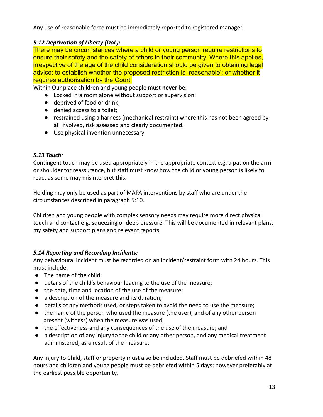Any use of reasonable force must be immediately reported to registered manager.

## *5.12 Deprivation of Liberty (DoL):*

There may be circumstances where a child or young person require restrictions to ensure their safety and the safety of others in their community. Where this applies, irrespective of the age of the child consideration should be given to obtaining legal advice; to establish whether the proposed restriction is 'reasonable'; or whether it requires authorisation by the Court.

Within Our place children and young people must **never** be:

- Locked in a room alone without support or supervision;
- deprived of food or drink:
- denied access to a toilet;
- restrained using a harness (mechanical restraint) where this has not been agreed by all involved, risk assessed and clearly documented.
- Use physical invention unnecessary

## *5.13 Touch:*

Contingent touch may be used appropriately in the appropriate context e.g. a pat on the arm or shoulder for reassurance, but staff must know how the child or young person is likely to react as some may misinterpret this.

Holding may only be used as part of MAPA interventions by staff who are under the circumstances described in paragraph 5:10.

Children and young people with complex sensory needs may require more direct physical touch and contact e.g. squeezing or deep pressure. This will be documented in relevant plans, my safety and support plans and relevant reports.

# *5.14 Reporting and Recording Incidents:*

Any behavioural incident must be recorded on an incident/restraint form with 24 hours. This must include:

- The name of the child;
- details of the child's behaviour leading to the use of the measure;
- the date, time and location of the use of the measure;
- a description of the measure and its duration;
- details of any methods used, or steps taken to avoid the need to use the measure;
- the name of the person who used the measure (the user), and of any other person present (witness) when the measure was used;
- the effectiveness and any consequences of the use of the measure; and
- a description of any injury to the child or any other person, and any medical treatment administered, as a result of the measure.

Any injury to Child, staff or property must also be included. Staff must be debriefed within 48 hours and children and young people must be debriefed within 5 days; however preferably at the earliest possible opportunity.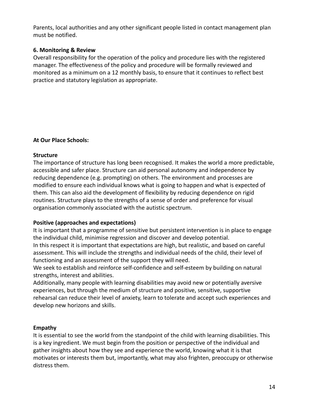Parents, local authorities and any other significant people listed in contact management plan must be notified.

#### **6. Monitoring & Review**

Overall responsibility for the operation of the policy and procedure lies with the registered manager. The effectiveness of the policy and procedure will be formally reviewed and monitored as a minimum on a 12 monthly basis, to ensure that it continues to reflect best practice and statutory legislation as appropriate.

### **At Our Place Schools:**

### **Structure**

The importance of structure has long been recognised. It makes the world a more predictable, accessible and safer place. Structure can aid personal autonomy and independence by reducing dependence (e.g. prompting) on others. The environment and processes are modified to ensure each individual knows what is going to happen and what is expected of them. This can also aid the development of flexibility by reducing dependence on rigid routines. Structure plays to the strengths of a sense of order and preference for visual organisation commonly associated with the autistic spectrum.

### **Positive (approaches and expectations)**

It is important that a programme of sensitive but persistent intervention is in place to engage the individual child, minimise regression and discover and develop potential.

In this respect it is important that expectations are high, but realistic, and based on careful assessment. This will include the strengths and individual needs of the child, their level of functioning and an assessment of the support they will need.

We seek to establish and reinforce self-confidence and self-esteem by building on natural strengths, interest and abilities.

Additionally, many people with learning disabilities may avoid new or potentially aversive experiences, but through the medium of structure and positive, sensitive, supportive rehearsal can reduce their level of anxiety, learn to tolerate and accept such experiences and develop new horizons and skills.

### **Empathy**

It is essential to see the world from the standpoint of the child with learning disabilities. This is a key ingredient. We must begin from the position or perspective of the individual and gather insights about how they see and experience the world, knowing what it is that motivates or interests them but, importantly, what may also frighten, preoccupy or otherwise distress them.